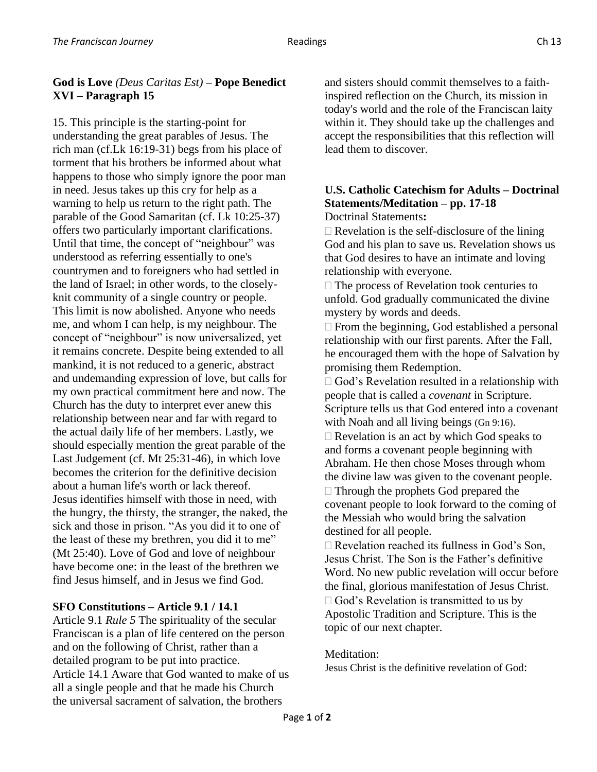#### **God is Love** *(Deus Caritas Est)* **– Pope Benedict XVI – Paragraph 15**

15. This principle is the starting-point for understanding the great parables of Jesus. The rich man (cf.Lk 16:19-31) begs from his place of torment that his brothers be informed about what happens to those who simply ignore the poor man in need. Jesus takes up this cry for help as a warning to help us return to the right path. The parable of the Good Samaritan (cf. Lk 10:25-37) offers two particularly important clarifications. Until that time, the concept of "neighbour" was understood as referring essentially to one's countrymen and to foreigners who had settled in the land of Israel; in other words, to the closelyknit community of a single country or people. This limit is now abolished. Anyone who needs me, and whom I can help, is my neighbour. The concept of "neighbour" is now universalized, yet it remains concrete. Despite being extended to all mankind, it is not reduced to a generic, abstract and undemanding expression of love, but calls for my own practical commitment here and now. The Church has the duty to interpret ever anew this relationship between near and far with regard to the actual daily life of her members. Lastly, we should especially mention the great parable of the Last Judgement (cf. Mt 25:31-46), in which love becomes the criterion for the definitive decision about a human life's worth or lack thereof. Jesus identifies himself with those in need, with the hungry, the thirsty, the stranger, the naked, the sick and those in prison. "As you did it to one of the least of these my brethren, you did it to me" (Mt 25:40). Love of God and love of neighbour have become one: in the least of the brethren we find Jesus himself, and in Jesus we find God.

### **SFO Constitutions – Article 9.1 / 14.1**

Article 9.1 *Rule 5* The spirituality of the secular Franciscan is a plan of life centered on the person and on the following of Christ, rather than a detailed program to be put into practice. Article 14.1 Aware that God wanted to make of us all a single people and that he made his Church the universal sacrament of salvation, the brothers

and sisters should commit themselves to a faithinspired reflection on the Church, its mission in today's world and the role of the Franciscan laity within it. They should take up the challenges and accept the responsibilities that this reflection will lead them to discover.

# **U.S. Catholic Catechism for Adults – Doctrinal Statements/Meditation – pp. 17-18**

Doctrinal Statements**:**

 $\Box$  Revelation is the self-disclosure of the lining God and his plan to save us. Revelation shows us that God desires to have an intimate and loving relationship with everyone.

 $\Box$  The process of Revelation took centuries to unfold. God gradually communicated the divine mystery by words and deeds.

 $\Box$  From the beginning, God established a personal relationship with our first parents. After the Fall, he encouraged them with the hope of Salvation by promising them Redemption.

 $\Box$  God's Revelation resulted in a relationship with people that is called a *covenant* in Scripture. Scripture tells us that God entered into a covenant with Noah and all living beings (Gn 9:16).

 $\Box$  Revelation is an act by which God speaks to and forms a covenant people beginning with Abraham. He then chose Moses through whom the divine law was given to the covenant people.

 $\Box$  Through the prophets God prepared the covenant people to look forward to the coming of the Messiah who would bring the salvation destined for all people.

 $\Box$  Revelation reached its fullness in God's Son, Jesus Christ. The Son is the Father's definitive Word. No new public revelation will occur before the final, glorious manifestation of Jesus Christ.  $\Box$  God's Revelation is transmitted to us by Apostolic Tradition and Scripture. This is the topic of our next chapter.

### Meditation:

Jesus Christ is the definitive revelation of God: